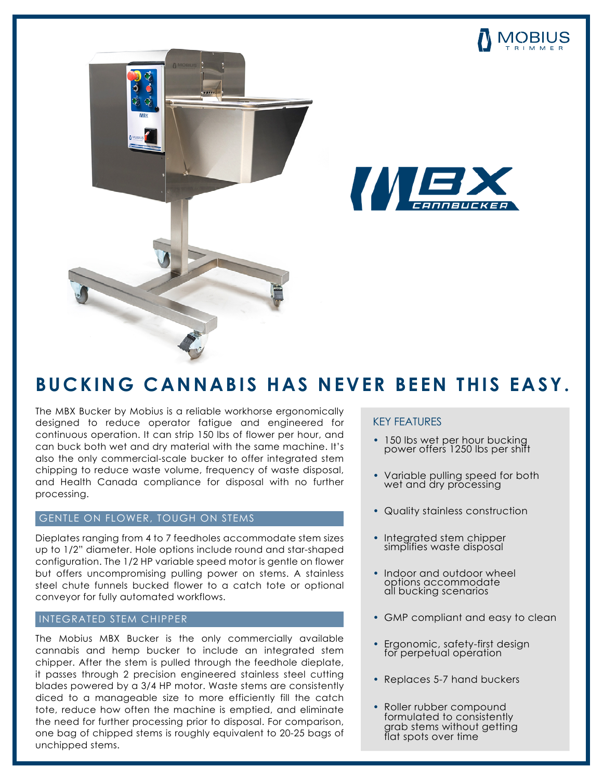



# WE

### **BUCKING CANNABIS HAS NEVER BEEN THIS EASY.**

The MBX Bucker by Mobius is a reliable workhorse ergonomically designed to reduce operator fatigue and engineered for continuous operation. It can strip 150 lbs of flower per hour, and can buck both wet and dry material with the same machine. It's also the only commercial-scale bucker to offer integrated stem chipping to reduce waste volume, frequency of waste disposal, and Health Canada compliance for disposal with no further processing.

#### GENTLE ON FLOWER, TOUGH ON STEMS

Dieplates ranging from 4 to 7 feedholes accommodate stem sizes up to 1/2" diameter. Hole options include round and star-shaped configuration. The 1/2 HP variable speed motor is gentle on flower but offers uncompromising pulling power on stems. A stainless steel chute funnels bucked flower to a catch tote or optional conveyor for fully automated workflows.

#### INTEGRATED STEM CHIPPER

The Mobius MBX Bucker is the only commercially available cannabis and hemp bucker to include an integrated stem chipper. After the stem is pulled through the feedhole dieplate, it passes through 2 precision engineered stainless steel cutting blades powered by a 3/4 HP motor. Waste stems are consistently diced to a manageable size to more efficiently fill the catch tote, reduce how often the machine is emptied, and eliminate the need for further processing prior to disposal. For comparison, one bag of chipped stems is roughly equivalent to 20-25 bags of unchipped stems.

#### KEY FEATURES

- 150 lbs wet per hour bucking power offers 1250 lbs per shift
- Variable pulling speed for both wet and dry processing
- Quality stainless construction
- Integrated stem chipper simplifies waste disposal
- Indoor and outdoor wheel options accommodate all bucking scenarios
- GMP compliant and easy to clean
- Ergonomic, safety-first design for perpetual operation
- Replaces 5-7 hand buckers
- Roller rubber compound formulated to consistently grab stems without getting flat spots over time